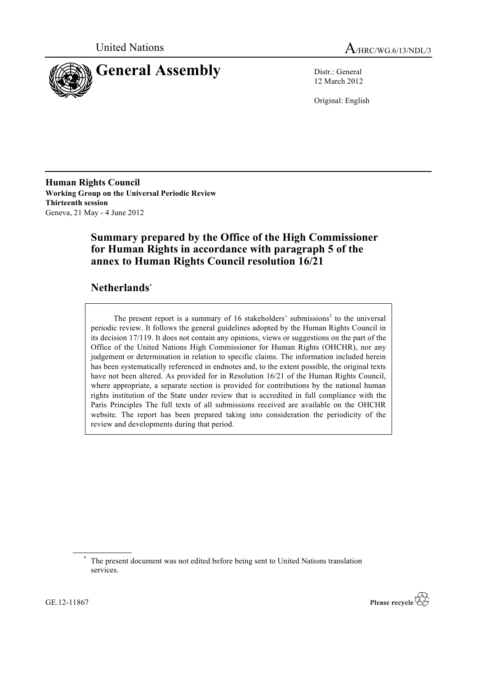



12 March 2012

Original: English

**Human Rights Council Working Group on the Universal Periodic Review Thirteenth session** Geneva, 21 May - 4 June 2012

# **Summary prepared by the Office of the High Commissioner for Human Rights in accordance with paragraph 5 of the annex to Human Rights Council resolution 16/21**

# **Netherlands**\*

The present report is a summary of 16 stakeholders' submissions<sup>1</sup> to the universal periodic review. It follows the general guidelines adopted by the Human Rights Council in its decision 17/119. It does not contain any opinions, views or suggestions on the part of the Office of the United Nations High Commissioner for Human Rights (OHCHR), nor any judgement or determination in relation to specific claims. The information included herein has been systematically referenced in endnotes and, to the extent possible, the original texts have not been altered. As provided for in Resolution 16/21 of the Human Rights Council, where appropriate, a separate section is provided for contributions by the national human rights institution of the State under review that is accredited in full compliance with the Paris Principles The full texts of all submissions received are available on the OHCHR website. The report has been prepared taking into consideration the periodicity of the review and developments during that period.



The present document was not edited before being sent to United Nations translation services.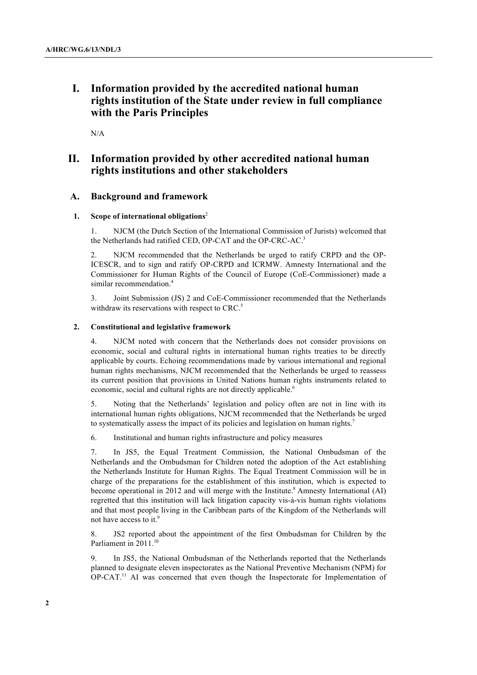# **I. Information provided by the accredited national human rights institution of the State under review in full compliance with the Paris Principles**

N/A

# **II. Information provided by other accredited national human rights institutions and other stakeholders**

# **A. Background and framework**

## **1. Scope of international obligations**<sup>2</sup>

1. NJCM (the Dutch Section of the International Commission of Jurists) welcomed that the Netherlands had ratified CED, OP-CAT and the OP-CRC-AC.<sup>3</sup>

2. NJCM recommended that the Netherlands be urged to ratify CRPD and the OP-ICESCR, and to sign and ratify OP-CRPD and ICRMW. Amnesty International and the Commissioner for Human Rights of the Council of Europe (CoE-Commissioner) made a similar recommendation.<sup>4</sup>

3. Joint Submission (JS) 2 and CoE-Commissioner recommended that the Netherlands withdraw its reservations with respect to CRC.<sup>5</sup>

### **2. Constitutional and legislative framework**

4. NJCM noted with concern that the Netherlands does not consider provisions on economic, social and cultural rights in international human rights treaties to be directly applicable by courts. Echoing recommendations made by various international and regional human rights mechanisms, NJCM recommended that the Netherlands be urged to reassess its current position that provisions in United Nations human rights instruments related to economic, social and cultural rights are not directly applicable.<sup>6</sup>

5. Noting that the Netherlands' legislation and policy often are not in line with its international human rights obligations, NJCM recommended that the Netherlands be urged to systematically assess the impact of its policies and legislation on human rights.<sup>7</sup>

6. Institutional and human rights infrastructure and policy measures

7. In JS5, the Equal Treatment Commission, the National Ombudsman of the Netherlands and the Ombudsman for Children noted the adoption of the Act establishing the Netherlands Institute for Human Rights. The Equal Treatment Commission will be in charge of the preparations for the establishment of this institution, which is expected to become operational in 2012 and will merge with the Institute.<sup>8</sup> Amnesty International (AI) regretted that this institution will lack litigation capacity vis-à-vis human rights violations and that most people living in the Caribbean parts of the Kingdom of the Netherlands will not have access to it.<sup>9</sup>

8. JS2 reported about the appointment of the first Ombudsman for Children by the Parliament in 2011.<sup>10</sup>

9. In JS5, the National Ombudsman of the Netherlands reported that the Netherlands planned to designate eleven inspectorates as the National Preventive Mechanism (NPM) for OP-CAT.<sup>11</sup> AI was concerned that even though the Inspectorate for Implementation of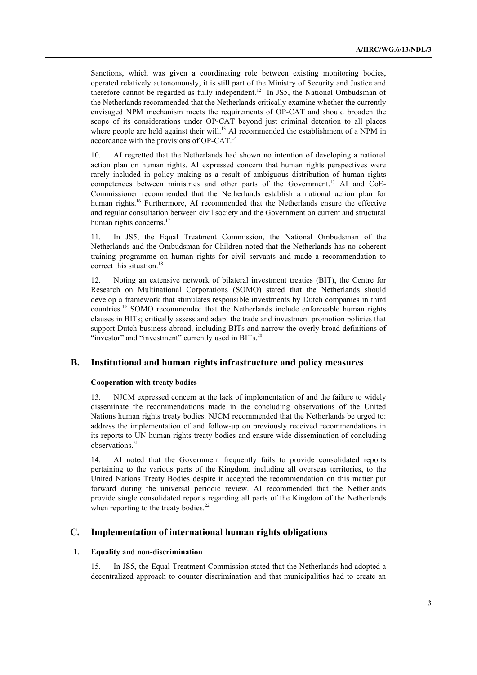Sanctions, which was given a coordinating role between existing monitoring bodies, operated relatively autonomously, it is still part of the Ministry of Security and Justice and therefore cannot be regarded as fully independent.<sup>12</sup> In JS5, the National Ombudsman of the Netherlands recommended that the Netherlands critically examine whether the currently envisaged NPM mechanism meets the requirements of OP-CAT and should broaden the scope of its considerations under OP-CAT beyond just criminal detention to all places where people are held against their will.<sup>13</sup> AI recommended the establishment of a NPM in accordance with the provisions of OP-CAT.<sup>14</sup>

10. AI regretted that the Netherlands had shown no intention of developing a national action plan on human rights. AI expressed concern that human rights perspectives were rarely included in policy making as a result of ambiguous distribution of human rights competences between ministries and other parts of the Government.<sup>15</sup> AI and CoE-Commissioner recommended that the Netherlands establish a national action plan for human rights.<sup>16</sup> Furthermore, AI recommended that the Netherlands ensure the effective and regular consultation between civil society and the Government on current and structural human rights concerns.<sup>17</sup>

11. In JS5, the Equal Treatment Commission, the National Ombudsman of the Netherlands and the Ombudsman for Children noted that the Netherlands has no coherent training programme on human rights for civil servants and made a recommendation to correct this situation.<sup>18</sup>

12. Noting an extensive network of bilateral investment treaties (BIT), the Centre for Research on Multinational Corporations (SOMO) stated that the Netherlands should develop a framework that stimulates responsible investments by Dutch companies in third countries.<sup>19</sup> SOMO recommended that the Netherlands include enforceable human rights clauses in BITs; critically assess and adapt the trade and investment promotion policies that support Dutch business abroad, including BITs and narrow the overly broad definitions of "investor" and "investment" currently used in BITs.<sup>20</sup>

# **B. Institutional and human rights infrastructure and policy measures**

# **Cooperation with treaty bodies**

13. NJCM expressed concern at the lack of implementation of and the failure to widely disseminate the recommendations made in the concluding observations of the United Nations human rights treaty bodies. NJCM recommended that the Netherlands be urged to: address the implementation of and follow-up on previously received recommendations in its reports to UN human rights treaty bodies and ensure wide dissemination of concluding observations.<sup>21</sup>

14. AI noted that the Government frequently fails to provide consolidated reports pertaining to the various parts of the Kingdom, including all overseas territories, to the United Nations Treaty Bodies despite it accepted the recommendation on this matter put forward during the universal periodic review. AI recommended that the Netherlands provide single consolidated reports regarding all parts of the Kingdom of the Netherlands when reporting to the treaty bodies.<sup>22</sup>

# **C. Implementation of international human rights obligations**

# **1. Equality and non-discrimination**

15. In JS5, the Equal Treatment Commission stated that the Netherlands had adopted a decentralized approach to counter discrimination and that municipalities had to create an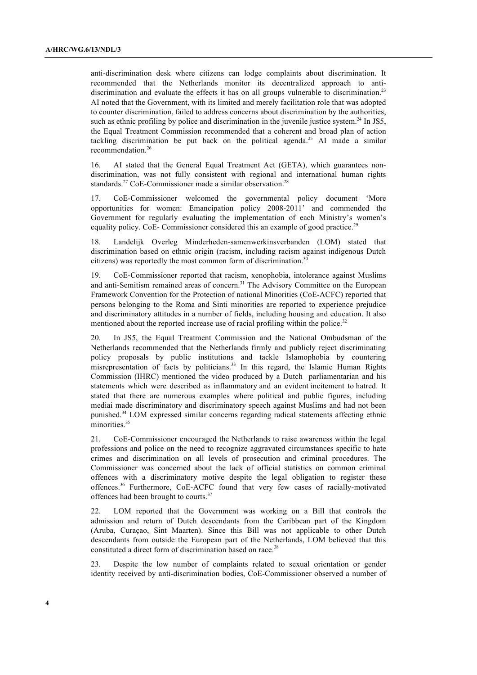anti-discrimination desk where citizens can lodge complaints about discrimination. It recommended that the Netherlands monitor its decentralized approach to antidiscrimination and evaluate the effects it has on all groups vulnerable to discrimination.<sup>23</sup> AI noted that the Government, with its limited and merely facilitation role that was adopted to counter discrimination, failed to address concerns about discrimination by the authorities, such as ethnic profiling by police and discrimination in the juvenile justice system.<sup>24</sup> In JS5, the Equal Treatment Commission recommended that a coherent and broad plan of action tackling discrimination be put back on the political agenda.<sup>25</sup> AI made a similar recommendation.<sup>26</sup>

16. AI stated that the General Equal Treatment Act (GETA), which guarantees nondiscrimination, was not fully consistent with regional and international human rights standards.<sup>27</sup> CoE-Commissioner made a similar observation.<sup>28</sup>

17. CoE-Commissioner welcomed the governmental policy document 'More opportunities for women: Emancipation policy 2008-2011' and commended the Government for regularly evaluating the implementation of each Ministry's women's equality policy. CoE- Commissioner considered this an example of good practice.<sup>29</sup>

18. Landelijk Overleg Minderheden-samenwerkinsverbanden (LOM) stated that discrimination based on ethnic origin (racism, including racism against indigenous Dutch citizens) was reportedly the most common form of discrimination.<sup>30</sup>

19. CoE-Commissioner reported that racism, xenophobia, intolerance against Muslims and anti-Semitism remained areas of concern.<sup>31</sup> The Advisory Committee on the European Framework Convention for the Protection of national Minorities (CoE-ACFC) reported that persons belonging to the Roma and Sinti minorities are reported to experience prejudice and discriminatory attitudes in a number of fields, including housing and education. It also mentioned about the reported increase use of racial profiling within the police.<sup>32</sup>

20. In JS5, the Equal Treatment Commission and the National Ombudsman of the Netherlands recommended that the Netherlands firmly and publicly reject discriminating policy proposals by public institutions and tackle Islamophobia by countering misrepresentation of facts by politicians.<sup>33</sup> In this regard, the Islamic Human Rights Commission (IHRC) mentioned the video produced by a Dutch parliamentarian and his statements which were described as inflammatory and an evident incitement to hatred. It stated that there are numerous examples where political and public figures, including mediai made discriminatory and discriminatory speech against Muslims and had not been punished.34 LOM expressed similar concerns regarding radical statements affecting ethnic minorities.<sup>35</sup>

21. CoE-Commissioner encouraged the Netherlands to raise awareness within the legal professions and police on the need to recognize aggravated circumstances specific to hate crimes and discrimination on all levels of prosecution and criminal procedures. The Commissioner was concerned about the lack of official statistics on common criminal offences with a discriminatory motive despite the legal obligation to register these offences.36 Furthermore, CoE-ACFC found that very few cases of racially-motivated offences had been brought to courts.<sup>37</sup>

22. LOM reported that the Government was working on a Bill that controls the admission and return of Dutch descendants from the Caribbean part of the Kingdom (Aruba, Curaçao, Sint Maarten). Since this Bill was not applicable to other Dutch descendants from outside the European part of the Netherlands, LOM believed that this constituted a direct form of discrimination based on race.<sup>38</sup>

23. Despite the low number of complaints related to sexual orientation or gender identity received by anti-discrimination bodies, CoE-Commissioner observed a number of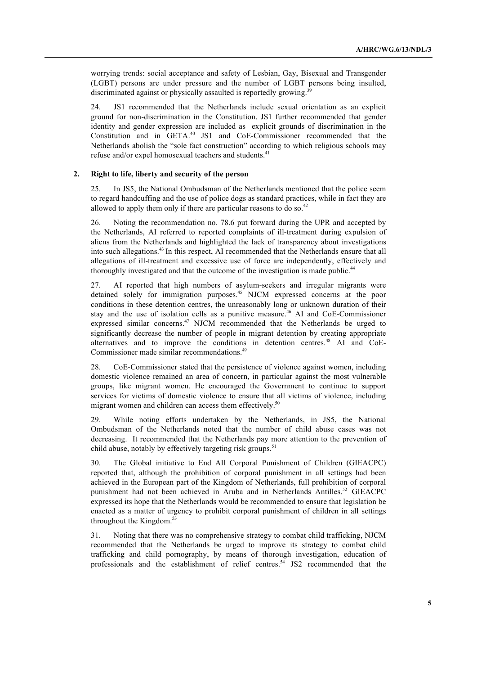worrying trends: social acceptance and safety of Lesbian, Gay, Bisexual and Transgender (LGBT) persons are under pressure and the number of LGBT persons being insulted, discriminated against or physically assaulted is reportedly growing.<sup>39</sup>

24. JS1 recommended that the Netherlands include sexual orientation as an explicit ground for non-discrimination in the Constitution. JS1 further recommended that gender identity and gender expression are included as explicit grounds of discrimination in the Constitution and in GETA.40 JS1 and CoE-Commissioner recommended that the Netherlands abolish the "sole fact construction" according to which religious schools may refuse and/or expel homosexual teachers and students.<sup>41</sup>

## **2. Right to life, liberty and security of the person**

25. In JS5, the National Ombudsman of the Netherlands mentioned that the police seem to regard handcuffing and the use of police dogs as standard practices, while in fact they are allowed to apply them only if there are particular reasons to do so. $42$ 

26. Noting the recommendation no. 78.6 put forward during the UPR and accepted by the Netherlands, AI referred to reported complaints of ill-treatment during expulsion of aliens from the Netherlands and highlighted the lack of transparency about investigations into such allegations.<sup>43</sup> In this respect, AI recommended that the Netherlands ensure that all allegations of ill-treatment and excessive use of force are independently, effectively and thoroughly investigated and that the outcome of the investigation is made public.<sup>44</sup>

27. AI reported that high numbers of asylum-seekers and irregular migrants were detained solely for immigration purposes. <sup>45</sup> NJCM expressed concerns at the poor conditions in these detention centres, the unreasonably long or unknown duration of their stay and the use of isolation cells as a punitive measure. 46 AI and CoE-Commissioner expressed similar concerns.<sup>47</sup> NJCM recommended that the Netherlands be urged to significantly decrease the number of people in migrant detention by creating appropriate alternatives and to improve the conditions in detention centres.<sup>48</sup> AI and CoE-Commissioner made similar recommendations.<sup>49</sup>

28. CoE-Commissioner stated that the persistence of violence against women, including domestic violence remained an area of concern, in particular against the most vulnerable groups, like migrant women. He encouraged the Government to continue to support services for victims of domestic violence to ensure that all victims of violence, including migrant women and children can access them effectively.<sup>50</sup>

29. While noting efforts undertaken by the Netherlands, in JS5, the National Ombudsman of the Netherlands noted that the number of child abuse cases was not decreasing. It recommended that the Netherlands pay more attention to the prevention of child abuse, notably by effectively targeting risk groups.<sup>51</sup>

30. The Global initiative to End All Corporal Punishment of Children (GIEACPC) reported that, although the prohibition of corporal punishment in all settings had been achieved in the European part of the Kingdom of Netherlands, full prohibition of corporal punishment had not been achieved in Aruba and in Netherlands Antilles.<sup>52</sup> GIEACPC expressed its hope that the Netherlands would be recommended to ensure that legislation be enacted as a matter of urgency to prohibit corporal punishment of children in all settings throughout the Kingdom.<sup>53</sup>

31. Noting that there was no comprehensive strategy to combat child trafficking, NJCM recommended that the Netherlands be urged to improve its strategy to combat child trafficking and child pornography, by means of thorough investigation, education of professionals and the establishment of relief centres.<sup>54</sup> JS2 recommended that the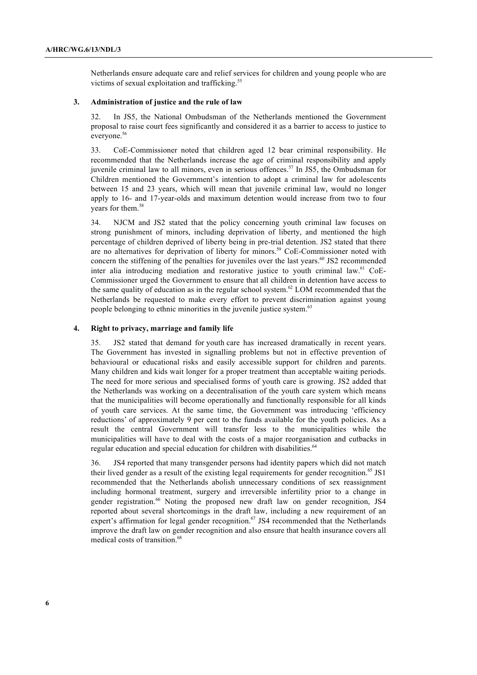Netherlands ensure adequate care and relief services for children and young people who are victims of sexual exploitation and trafficking.<sup>55</sup>

## **3. Administration of justice and the rule of law**

32. In JS5, the National Ombudsman of the Netherlands mentioned the Government proposal to raise court fees significantly and considered it as a barrier to access to justice to everyone.<sup>56</sup>

33. CoE-Commissioner noted that children aged 12 bear criminal responsibility. He recommended that the Netherlands increase the age of criminal responsibility and apply juvenile criminal law to all minors, even in serious offences.<sup>57</sup> In JS5, the Ombudsman for Children mentioned the Government's intention to adopt a criminal law for adolescents between 15 and 23 years, which will mean that juvenile criminal law, would no longer apply to 16- and 17-year-olds and maximum detention would increase from two to four years for them.<sup>58</sup>

34. NJCM and JS2 stated that the policy concerning youth criminal law focuses on strong punishment of minors, including deprivation of liberty, and mentioned the high percentage of children deprived of liberty being in pre-trial detention. JS2 stated that there are no alternatives for deprivation of liberty for minors.<sup>59</sup> CoE-Commissioner noted with concern the stiffening of the penalties for juveniles over the last years.<sup>60</sup> JS2 recommended inter alia introducing mediation and restorative justice to youth criminal law.<sup>61</sup> CoE-Commissioner urged the Government to ensure that all children in detention have access to the same quality of education as in the regular school system. $62$  LOM recommended that the Netherlands be requested to make every effort to prevent discrimination against young people belonging to ethnic minorities in the juvenile justice system.<sup>63</sup>

#### **4. Right to privacy, marriage and family life**

35. JS2 stated that demand for youth care has increased dramatically in recent years. The Government has invested in signalling problems but not in effective prevention of behavioural or educational risks and easily accessible support for children and parents. Many children and kids wait longer for a proper treatment than acceptable waiting periods. The need for more serious and specialised forms of youth care is growing. JS2 added that the Netherlands was working on a decentralisation of the youth care system which means that the municipalities will become operationally and functionally responsible for all kinds of youth care services. At the same time, the Government was introducing 'efficiency reductions' of approximately 9 per cent to the funds available for the youth policies. As a result the central Government will transfer less to the municipalities while the municipalities will have to deal with the costs of a major reorganisation and cutbacks in regular education and special education for children with disabilities.<sup>64</sup>

36. JS4 reported that many transgender persons had identity papers which did not match their lived gender as a result of the existing legal requirements for gender recognition.<sup>65</sup> JS1 recommended that the Netherlands abolish unnecessary conditions of sex reassignment including hormonal treatment, surgery and irreversible infertility prior to a change in gender registration.<sup>66</sup> Noting the proposed new draft law on gender recognition, JS4 reported about several shortcomings in the draft law, including a new requirement of an expert's affirmation for legal gender recognition.<sup>67</sup> JS4 recommended that the Netherlands improve the draft law on gender recognition and also ensure that health insurance covers all medical costs of transition.<sup>68</sup>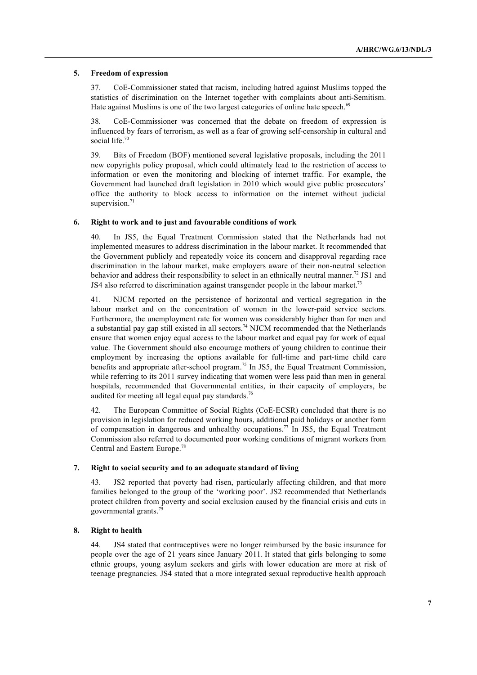## **5. Freedom of expression**

37. CoE-Commissioner stated that racism, including hatred against Muslims topped the statistics of discrimination on the Internet together with complaints about anti-Semitism. Hate against Muslims is one of the two largest categories of online hate speech.<sup>69</sup>

38. CoE-Commissioner was concerned that the debate on freedom of expression is influenced by fears of terrorism, as well as a fear of growing self-censorship in cultural and social life.<sup>70</sup>

39. Bits of Freedom (BOF) mentioned several legislative proposals, including the 2011 new copyrights policy proposal, which could ultimately lead to the restriction of access to information or even the monitoring and blocking of internet traffic. For example, the Government had launched draft legislation in 2010 which would give public prosecutors' office the authority to block access to information on the internet without judicial supervision.<sup>7</sup>

## **6. Right to work and to just and favourable conditions of work**

40. In JS5, the Equal Treatment Commission stated that the Netherlands had not implemented measures to address discrimination in the labour market. It recommended that the Government publicly and repeatedly voice its concern and disapproval regarding race discrimination in the labour market, make employers aware of their non-neutral selection behavior and address their responsibility to select in an ethnically neutral manner.<sup>72</sup> JS1 and JS4 also referred to discrimination against transgender people in the labour market.<sup>73</sup>

41. NJCM reported on the persistence of horizontal and vertical segregation in the labour market and on the concentration of women in the lower-paid service sectors. Furthermore, the unemployment rate for women was considerably higher than for men and a substantial pay gap still existed in all sectors.<sup>74</sup> NJCM recommended that the Netherlands ensure that women enjoy equal access to the labour market and equal pay for work of equal value. The Government should also encourage mothers of young children to continue their employment by increasing the options available for full-time and part-time child care benefits and appropriate after-school program.<sup>75</sup> In JS5, the Equal Treatment Commission, while referring to its 2011 survey indicating that women were less paid than men in general hospitals, recommended that Governmental entities, in their capacity of employers, be audited for meeting all legal equal pay standards.<sup>76</sup>

42. The European Committee of Social Rights (CoE-ECSR) concluded that there is no provision in legislation for reduced working hours, additional paid holidays or another form of compensation in dangerous and unhealthy occupations.<sup>77</sup> In JS5, the Equal Treatment Commission also referred to documented poor working conditions of migrant workers from Central and Eastern Europe. 78

# **7. Right to social security and to an adequate standard of living**

43. JS2 reported that poverty had risen, particularly affecting children, and that more families belonged to the group of the 'working poor'. JS2 recommended that Netherlands protect children from poverty and social exclusion caused by the financial crisis and cuts in governmental grants.<sup>79</sup>

# **8. Right to health**

44. JS4 stated that contraceptives were no longer reimbursed by the basic insurance for people over the age of 21 years since January 2011. It stated that girls belonging to some ethnic groups, young asylum seekers and girls with lower education are more at risk of teenage pregnancies. JS4 stated that a more integrated sexual reproductive health approach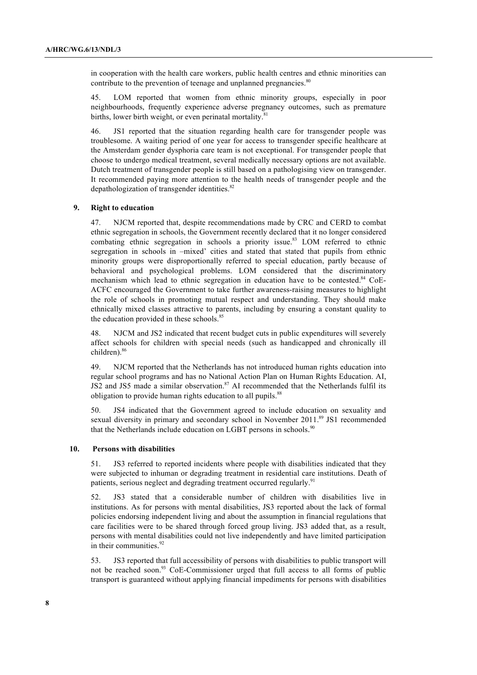in cooperation with the health care workers, public health centres and ethnic minorities can contribute to the prevention of teenage and unplanned pregnancies.<sup>80</sup>

45. LOM reported that women from ethnic minority groups, especially in poor neighbourhoods, frequently experience adverse pregnancy outcomes, such as premature births, lower birth weight, or even perinatal mortality.<sup>81</sup>

46. JS1 reported that the situation regarding health care for transgender people was troublesome. A waiting period of one year for access to transgender specific healthcare at the Amsterdam gender dysphoria care team is not exceptional. For transgender people that choose to undergo medical treatment, several medically necessary options are not available. Dutch treatment of transgender people is still based on a pathologising view on transgender. It recommended paying more attention to the health needs of transgender people and the depathologization of transgender identities.<sup>82</sup>

### **9. Right to education**

47. NJCM reported that, despite recommendations made by CRC and CERD to combat ethnic segregation in schools, the Government recently declared that it no longer considered combating ethnic segregation in schools a priority issue.<sup>83</sup> LOM referred to ethnic segregation in schools in –mixed' cities and stated that stated that pupils from ethnic minority groups were disproportionally referred to special education, partly because of behavioral and psychological problems. LOM considered that the discriminatory mechanism which lead to ethnic segregation in education have to be contested.<sup>84</sup> CoE-ACFC encouraged the Government to take further awareness-raising measures to highlight the role of schools in promoting mutual respect and understanding. They should make ethnically mixed classes attractive to parents, including by ensuring a constant quality to the education provided in these schools.<sup>85</sup>

48. NJCM and JS2 indicated that recent budget cuts in public expenditures will severely affect schools for children with special needs (such as handicapped and chronically ill children). 86

49. NJCM reported that the Netherlands has not introduced human rights education into regular school programs and has no National Action Plan on Human Rights Education. AI, JS2 and JS5 made a similar observation.<sup>87</sup> AI recommended that the Netherlands fulfil its obligation to provide human rights education to all pupils.<sup>88</sup>

50. JS4 indicated that the Government agreed to include education on sexuality and sexual diversity in primary and secondary school in November 2011.<sup>89</sup> JS1 recommended that the Netherlands include education on LGBT persons in schools.<sup>90</sup>

#### **10. Persons with disabilities**

51. JS3 referred to reported incidents where people with disabilities indicated that they were subjected to inhuman or degrading treatment in residential care institutions. Death of patients, serious neglect and degrading treatment occurred regularly.<sup>91</sup>

52. JS3 stated that a considerable number of children with disabilities live in institutions. As for persons with mental disabilities, JS3 reported about the lack of formal policies endorsing independent living and about the assumption in financial regulations that care facilities were to be shared through forced group living. JS3 added that, as a result, persons with mental disabilities could not live independently and have limited participation in their communities.<sup>92</sup>

53. JS3 reported that full accessibility of persons with disabilities to public transport will not be reached soon.<sup>93</sup> CoE-Commissioner urged that full access to all forms of public transport is guaranteed without applying financial impediments for persons with disabilities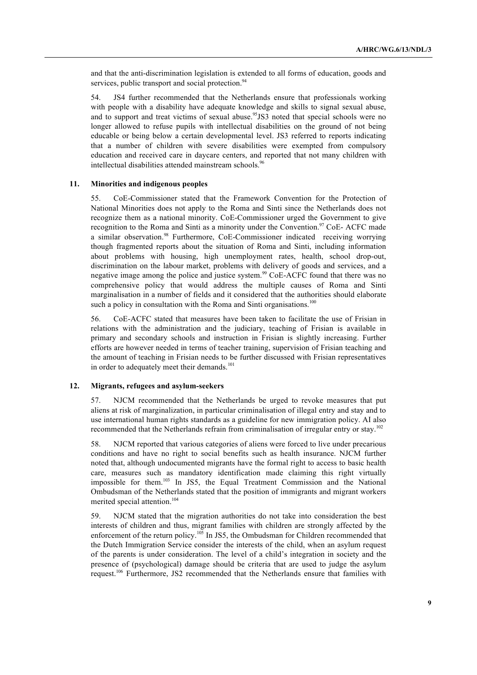and that the anti-discrimination legislation is extended to all forms of education, goods and services, public transport and social protection.<sup>94</sup>

54. JS4 further recommended that the Netherlands ensure that professionals working with people with a disability have adequate knowledge and skills to signal sexual abuse, and to support and treat victims of sexual abuse.<sup>95</sup>JS3 noted that special schools were no longer allowed to refuse pupils with intellectual disabilities on the ground of not being educable or being below a certain developmental level. JS3 referred to reports indicating that a number of children with severe disabilities were exempted from compulsory education and received care in daycare centers, and reported that not many children with intellectual disabilities attended mainstream schools. 96

#### **11. Minorities and indigenous peoples**

55. CoE-Commissioner stated that the Framework Convention for the Protection of National Minorities does not apply to the Roma and Sinti since the Netherlands does not recognize them as a national minority. CoE-Commissioner urged the Government to give recognition to the Roma and Sinti as a minority under the Convention.<sup>97</sup> CoE-ACFC made a similar observation.<sup>98</sup> Furthermore, CoE-Commissioner indicated receiving worrying though fragmented reports about the situation of Roma and Sinti, including information about problems with housing, high unemployment rates, health, school drop-out, discrimination on the labour market, problems with delivery of goods and services, and a negative image among the police and justice system.<sup>99</sup> CoE-ACFC found that there was no comprehensive policy that would address the multiple causes of Roma and Sinti marginalisation in a number of fields and it considered that the authorities should elaborate such a policy in consultation with the Roma and Sinti organisations.<sup>100</sup>

56. CoE-ACFC stated that measures have been taken to facilitate the use of Frisian in relations with the administration and the judiciary, teaching of Frisian is available in primary and secondary schools and instruction in Frisian is slightly increasing. Further efforts are however needed in terms of teacher training, supervision of Frisian teaching and the amount of teaching in Frisian needs to be further discussed with Frisian representatives in order to adequately meet their demands.<sup>101</sup>

#### **12. Migrants, refugees and asylum-seekers**

57. NJCM recommended that the Netherlands be urged to revoke measures that put aliens at risk of marginalization, in particular criminalisation of illegal entry and stay and to use international human rights standards as a guideline for new immigration policy. AI also recommended that the Netherlands refrain from criminalisation of irregular entry or stay.<sup>102</sup>

58. NJCM reported that various categories of aliens were forced to live under precarious conditions and have no right to social benefits such as health insurance. NJCM further noted that, although undocumented migrants have the formal right to access to basic health care, measures such as mandatory identification made claiming this right virtually impossible for them. <sup>103</sup> In JS5, the Equal Treatment Commission and the National Ombudsman of the Netherlands stated that the position of immigrants and migrant workers merited special attention. 104

59. NJCM stated that the migration authorities do not take into consideration the best interests of children and thus, migrant families with children are strongly affected by the enforcement of the return policy.<sup>105</sup> In JS5, the Ombudsman for Children recommended that the Dutch Immigration Service consider the interests of the child, when an asylum request of the parents is under consideration. The level of a child's integration in society and the presence of (psychological) damage should be criteria that are used to judge the asylum request.<sup>106</sup> Furthermore, JS2 recommended that the Netherlands ensure that families with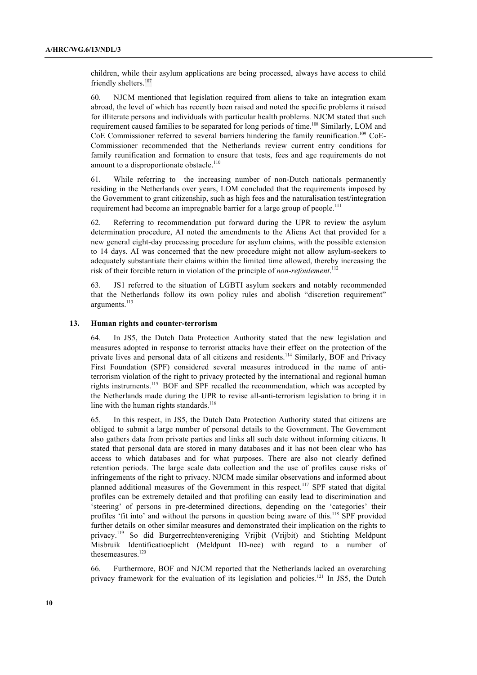children, while their asylum applications are being processed, always have access to child friendly shelters.<sup>107</sup>

60. NJCM mentioned that legislation required from aliens to take an integration exam abroad, the level of which has recently been raised and noted the specific problems it raised for illiterate persons and individuals with particular health problems. NJCM stated that such requirement caused families to be separated for long periods of time.<sup>108</sup> Similarly, LOM and CoE Commissioner referred to several barriers hindering the family reunification.<sup>109</sup> CoE-Commissioner recommended that the Netherlands review current entry conditions for family reunification and formation to ensure that tests, fees and age requirements do not amount to a disproportionate obstacle.<sup>110</sup>

61. While referring to the increasing number of non-Dutch nationals permanently residing in the Netherlands over years, LOM concluded that the requirements imposed by the Government to grant citizenship, such as high fees and the naturalisation test/integration requirement had become an impregnable barrier for a large group of people.<sup>111</sup>

62. Referring to recommendation put forward during the UPR to review the asylum determination procedure, AI noted the amendments to the Aliens Act that provided for a new general eight-day processing procedure for asylum claims, with the possible extension to 14 days. AI was concerned that the new procedure might not allow asylum-seekers to adequately substantiate their claims within the limited time allowed, thereby increasing the risk of their forcible return in violation of the principle of *non-refoulement*. 112

63. JS1 referred to the situation of LGBTI asylum seekers and notably recommended that the Netherlands follow its own policy rules and abolish "discretion requirement" arguments.<sup>113</sup>

#### **13. Human rights and counter-terrorism**

64. In JS5, the Dutch Data Protection Authority stated that the new legislation and measures adopted in response to terrorist attacks have their effect on the protection of the private lives and personal data of all citizens and residents.<sup>114</sup> Similarly, BOF and Privacy First Foundation (SPF) considered several measures introduced in the name of antiterrorism violation of the right to privacy protected by the international and regional human rights instruments.<sup>115</sup> BOF and SPF recalled the recommendation, which was accepted by the Netherlands made during the UPR to revise all-anti-terrorism legislation to bring it in line with the human rights standards.<sup>116</sup>

65. In this respect, in JS5, the Dutch Data Protection Authority stated that citizens are obliged to submit a large number of personal details to the Government. The Government also gathers data from private parties and links all such date without informing citizens. It stated that personal data are stored in many databases and it has not been clear who has access to which databases and for what purposes. There are also not clearly defined retention periods. The large scale data collection and the use of profiles cause risks of infringements of the right to privacy. NJCM made similar observations and informed about planned additional measures of the Government in this respect.<sup>117</sup> SPF stated that digital profiles can be extremely detailed and that profiling can easily lead to discrimination and 'steering' of persons in pre-determined directions, depending on the 'categories' their profiles 'fit into' and without the persons in question being aware of this.<sup>118</sup> SPF provided further details on other similar measures and demonstrated their implication on the rights to privacy.119 So did Burgerrechtenvereniging Vrijbit (Vrijbit) and Stichting Meldpunt Misbruik Identificatioeplicht (Meldpunt ID-nee) with regard to a number of thesemeasures.<sup>120</sup>

66. Furthermore, BOF and NJCM reported that the Netherlands lacked an overarching privacy framework for the evaluation of its legislation and policies.<sup>121</sup> In JS5, the Dutch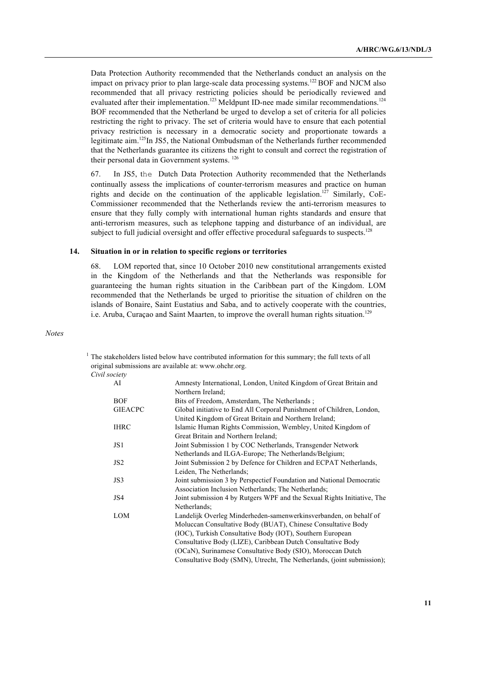Data Protection Authority recommended that the Netherlands conduct an analysis on the impact on privacy prior to plan large-scale data processing systems.<sup>122</sup> BOF and NJCM also recommended that all privacy restricting policies should be periodically reviewed and evaluated after their implementation.<sup>123</sup> Meldpunt ID-nee made similar recommendations.<sup>124</sup> BOF recommended that the Netherland be urged to develop a set of criteria for all policies restricting the right to privacy. The set of criteria would have to ensure that each potential privacy restriction is necessary in a democratic society and proportionate towards a legitimate aim.125In JS5, the National Ombudsman of the Netherlands further recommended that the Netherlands guarantee its citizens the right to consult and correct the registration of their personal data in Government systems. <sup>126</sup>

67. In JS5, the Dutch Data Protection Authority recommended that the Netherlands continually assess the implications of counter-terrorism measures and practice on human rights and decide on the continuation of the applicable legislation.<sup>127</sup> Similarly, CoE-Commissioner recommended that the Netherlands review the anti-terrorism measures to ensure that they fully comply with international human rights standards and ensure that anti-terrorism measures, such as telephone tapping and disturbance of an individual, are subject to full judicial oversight and offer effective procedural safeguards to suspects.<sup>128</sup>

#### **14. Situation in or in relation to specific regions or territories**

68. LOM reported that, since 10 October 2010 new constitutional arrangements existed in the Kingdom of the Netherlands and that the Netherlands was responsible for guaranteeing the human rights situation in the Caribbean part of the Kingdom. LOM recommended that the Netherlands be urged to prioritise the situation of children on the islands of Bonaire, Saint Eustatius and Saba, and to actively cooperate with the countries, i.e. Aruba, Curaçao and Saint Maarten, to improve the overall human rights situation.<sup>129</sup>

*Notes*

 $<sup>1</sup>$  The stakeholders listed below have contributed information for this summary; the full texts of all</sup> original submissions are available at: www.ohchr.org.

### *Civil society*

| AI              | Amnesty International, London, United Kingdom of Great Britain and      |  |  |
|-----------------|-------------------------------------------------------------------------|--|--|
|                 | Northern Ireland:                                                       |  |  |
| <b>BOF</b>      | Bits of Freedom, Amsterdam, The Netherlands;                            |  |  |
| <b>GIEACPC</b>  | Global initiative to End All Corporal Punishment of Children, London,   |  |  |
|                 | United Kingdom of Great Britain and Northern Ireland;                   |  |  |
| <b>IHRC</b>     | Islamic Human Rights Commission, Wembley, United Kingdom of             |  |  |
|                 | Great Britain and Northern Ireland;                                     |  |  |
| JS1             | Joint Submission 1 by COC Netherlands, Transgender Network              |  |  |
|                 | Netherlands and ILGA-Europe; The Netherlands/Belgium;                   |  |  |
| JS <sub>2</sub> | Joint Submission 2 by Defence for Children and ECPAT Netherlands,       |  |  |
|                 | Leiden, The Netherlands;                                                |  |  |
| JS3             | Joint submission 3 by Perspectief Foundation and National Democratic    |  |  |
|                 | Association Inclusion Netherlands; The Netherlands;                     |  |  |
| JS4             | Joint submission 4 by Rutgers WPF and the Sexual Rights Initiative, The |  |  |
|                 | Netherlands;                                                            |  |  |
| <b>LOM</b>      | Landelijk Overleg Minderheden-samenwerkinsverbanden, on behalf of       |  |  |
|                 | Moluccan Consultative Body (BUAT), Chinese Consultative Body            |  |  |
|                 | (IOC), Turkish Consultative Body (IOT), Southern European               |  |  |
|                 | Consultative Body (LIZE), Caribbean Dutch Consultative Body             |  |  |
|                 | (OCaN), Surinamese Consultative Body (SIO), Moroccan Dutch              |  |  |
|                 | Consultative Body (SMN), Utrecht, The Netherlands, (joint submission);  |  |  |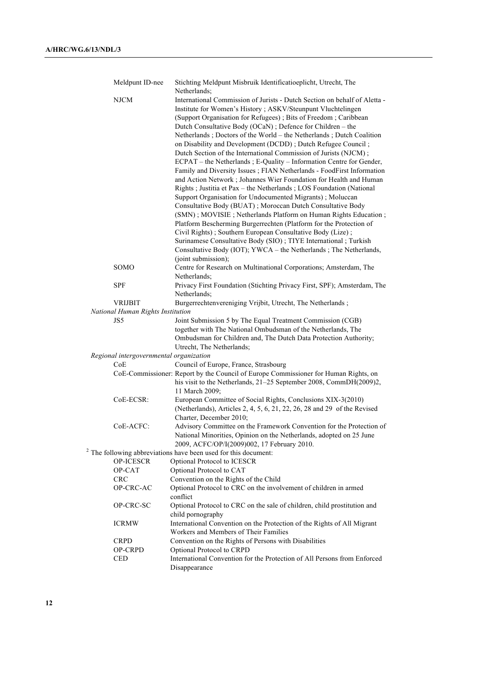| Meldpunt ID-nee                         | Stichting Meldpunt Misbruik Identificatioeplicht, Utrecht, The<br>Netherlands;       |
|-----------------------------------------|--------------------------------------------------------------------------------------|
| <b>NJCM</b>                             | International Commission of Jurists - Dutch Section on behalf of Aletta -            |
|                                         | Institute for Women's History; ASKV/Steunpunt Vluchtelingen                          |
|                                         | (Support Organisation for Refugees); Bits of Freedom; Caribbean                      |
|                                         | Dutch Consultative Body (OCaN); Defence for Children - the                           |
|                                         | Netherlands; Doctors of the World - the Netherlands; Dutch Coalition                 |
|                                         | on Disability and Development (DCDD); Dutch Refugee Council;                         |
|                                         | Dutch Section of the International Commission of Jurists (NJCM);                     |
|                                         | ECPAT - the Netherlands; E-Quality - Information Centre for Gender,                  |
|                                         | Family and Diversity Issues ; FIAN Netherlands - FoodFirst Information               |
|                                         | and Action Network; Johannes Wier Foundation for Health and Human                    |
|                                         | Rights ; Justitia et Pax - the Netherlands ; LOS Foundation (National                |
|                                         | Support Organisation for Undocumented Migrants); Moluccan                            |
|                                         | Consultative Body (BUAT); Moroccan Dutch Consultative Body                           |
|                                         | (SMN); MOVISIE; Netherlands Platform on Human Rights Education;                      |
|                                         | Platform Bescherming Burgerrechten (Platform for the Protection of                   |
|                                         | Civil Rights); Southern European Consultative Body (Lize);                           |
|                                         | Surinamese Consultative Body (SIO); TIYE International; Turkish                      |
|                                         | Consultative Body (IOT); YWCA - the Netherlands; The Netherlands,                    |
|                                         | (joint submission);                                                                  |
| SOMO                                    | Centre for Research on Multinational Corporations; Amsterdam, The                    |
|                                         | Netherlands;                                                                         |
| <b>SPF</b>                              | Privacy First Foundation (Stichting Privacy First, SPF); Amsterdam, The              |
|                                         | Netherlands;                                                                         |
| <b>VRIJBIT</b>                          | Burgerrechtenvereniging Vrijbit, Utrecht, The Netherlands;                           |
| National Human Rights Institution       |                                                                                      |
| JS5                                     | Joint Submission 5 by The Equal Treatment Commission (CGB)                           |
|                                         | together with The National Ombudsman of the Netherlands, The                         |
|                                         | Ombudsman for Children and, The Dutch Data Protection Authority;                     |
|                                         | Utrecht, The Netherlands;                                                            |
| Regional intergovernmental organization |                                                                                      |
| CoE                                     | Council of Europe, France, Strasbourg                                                |
|                                         | CoE-Commissioner: Report by the Council of Europe Commissioner for Human Rights, on  |
|                                         | his visit to the Netherlands, 21-25 September 2008, CommDH(2009)2,<br>11 March 2009: |
| CoE-ECSR:                               | European Committee of Social Rights, Conclusions XIX-3(2010)                         |
|                                         | (Netherlands), Articles 2, 4, 5, 6, 21, 22, 26, 28 and 29 of the Revised             |
|                                         | Charter, December 2010;                                                              |
| CoE-ACFC:                               | Advisory Committee on the Framework Convention for the Protection of                 |
|                                         | National Minorities, Opinion on the Netherlands, adopted on 25 June                  |
|                                         | 2009, ACFC/OP/I(2009)002, 17 February 2010.                                          |
|                                         | $2$ The following abbreviations have been used for this document:                    |
| OP-ICESCR                               | Optional Protocol to ICESCR                                                          |
| OP-CAT                                  | Optional Protocol to CAT                                                             |
| <b>CRC</b>                              | Convention on the Rights of the Child                                                |
| OP-CRC-AC                               | Optional Protocol to CRC on the involvement of children in armed                     |
|                                         | conflict                                                                             |
| OP-CRC-SC                               | Optional Protocol to CRC on the sale of children, child prostitution and             |
|                                         | child pornography                                                                    |
| <b>ICRMW</b>                            | International Convention on the Protection of the Rights of All Migrant              |
|                                         | Workers and Members of Their Families                                                |
| <b>CRPD</b>                             | Convention on the Rights of Persons with Disabilities                                |
| OP-CRPD                                 | Optional Protocol to CRPD                                                            |
| CED                                     | International Convention for the Protection of All Persons from Enforced             |
|                                         | Disappearance                                                                        |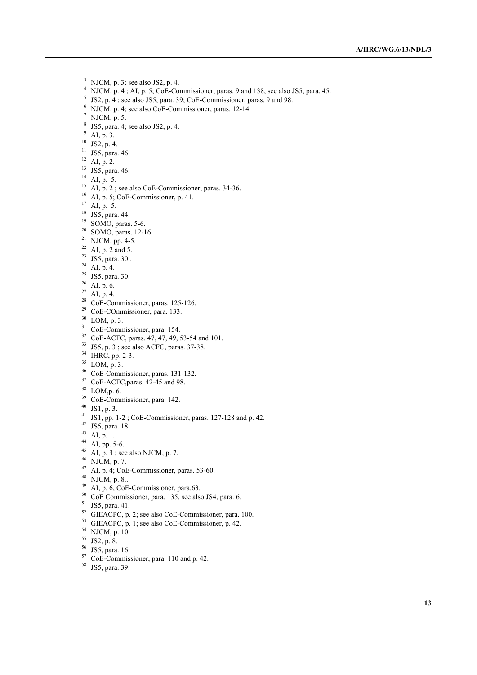- NJCM, p. 3; see also JS2, p. 4.
- NJCM, p. 4 ; AI, p. 5; CoE-Commissioner, paras. 9 and 138, see also JS5, para. 45.
- JS2, p. 4 ; see also JS5, para. 39; CoE-Commissioner, paras. 9 and 98.
- NJCM, p. 4; see also CoE-Commissioner, paras. 12-14.
- $^7$  NJCM, p. 5.
- $8 \text{ JS5, para. } 4$ ; see also JS2, p. 4.
- AI, p. 3.
- JS2, p. 4.
- JS5, para. 46.
- AI, p. 2.
- <sup>13</sup> JS5, para. 46.
- $^{14}$  AI, p. 5.
- <sup>15</sup> AI, p. 2; see also CoE-Commissioner, paras.  $34-36$ .
- $^{16}$  AI, p. 5; CoE-Commissioner, p. 41.
- AI, p. 5.
- JS5, para. 44.
- SOMO, paras. 5-6.
- SOMO, paras. 12-16.
- NJCM, pp. 4-5.
- <sup>22</sup> AI, p. 2 and 5.
- <sup>23</sup> JS5, para. 30..
- AI, p. 4.
- JS5, para. 30.
- AI, p. 6.
- AI, p. 4.
- CoE-Commissioner, paras. 125-126.
- CoE-COmmissioner, para. 133.
- LOM, p. 3.
- CoE-Commissioner, para. 154.
- <sup>32</sup> CoE-ACFC, paras. 47, 47, 49, 53-54 and 101.
- JS5, p. 3 ; see also ACFC, paras. 37-38.
- <sup>34</sup> IHRC, pp. 2-3.
- LOM, p. 3.
- CoE-Commissioner, paras. 131-132.
- CoE-ACFC,paras. 42-45 and 98.
- LOM,p. 6.
- CoE-Commissioner, para. 142.
- JS1, p. 3.
- JS1, pp. 1-2 ; CoE-Commissioner, paras. 127-128 and p. 42.
- JS5, para. 18.
- AI, p. 1.
- AI, pp. 5-6.
- AI, p. 3; see also NJCM, p. 7.
- NJCM, p. 7.
- $^{47}$  AI, p. 4; CoE-Commissioner, paras. 53-60.
- NJCM, p. 8..
- AI, p. 6, CoE-Commissioner, para.63.
- CoE Commissioner, para. 135, see also JS4, para. 6.
- JS5, para. 41.
- GIEACPC, p. 2; see also CoE-Commissioner, para. 100.
- GIEACPC, p. 1; see also CoE-Commissioner, p. 42.
- NJCM, p. 10.
- JS2, p. 8.
- JS5, para. 16.
- CoE-Commissioner, para. 110 and p. 42.
- JS5, para. 39.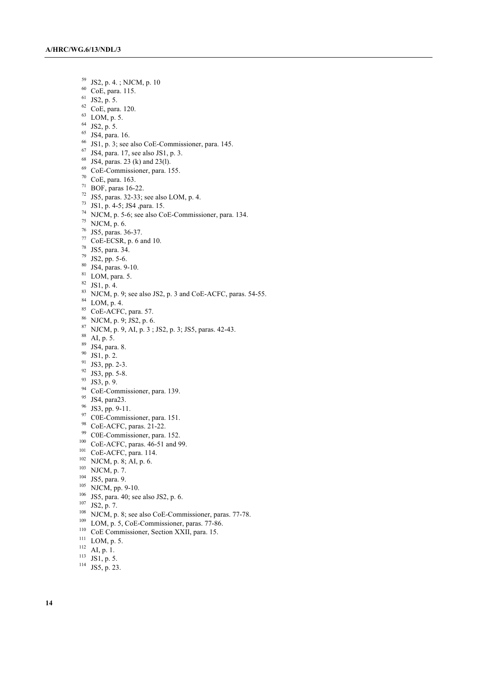$^{59}$  JS2, p. 4. ; NJCM, p. 10<br> $^{60}$  CoF para 115

- CoE, para. 115.
- JS2, p. 5.
- CoE, para. 120.
- LOM, p. 5.
- JS2, p. 5.
- JS4, para. 16.
- JS1, p. 3; see also CoE-Commissioner, para. 145.
- JS4, para. 17, see also JS1, p. 3.
- JS4, paras. 23 (k) and 23(l).
- CoE-Commissioner, para. 155.
- CoE, para. 163.
- BOF, paras 16-22.
- JS5, paras. 32-33; see also LOM, p. 4.
- JS1, p. 4-5; JS4 ,para. 15.
- NJCM, p. 5-6; see also CoE-Commissioner, para. 134.
- NJCM, p. 6.
- JS5, paras. 36-37.
- CoE-ECSR, p. 6 and 10.
- JS5, para. 34.
- JS2, pp. 5-6.
- JS4, paras. 9-10.
- LOM, para. 5.
- JS1, p. 4.
- NJCM, p. 9; see also JS2, p. 3 and CoE-ACFC, paras. 54-55.
- LOM, p. 4.
- CoE-ACFC, para. 57.
- NJCM, p. 9; JS2, p. 6.
- NJCM, p. 9, AI, p. 3; JS2, p. 3; JS5, paras. 42-43.
- AI, p. 5.
- JS4, para. 8.
- JS1, p. 2.
- JS3, pp. 2-3.
- JS3, pp. 5-8.
- JS3, p. 9.
- <sup>94</sup> CoE-Commissioner, para. 139.
- JS4, para23.
- JS3, pp. 9-11.
- C0E-Commissioner, para. 151.
- CoE-ACFC, paras. 21-22.
- C0E-Commissioner, para. 152.
- <sup>100</sup> CoE-ACFC, paras. 46-51 and 99.
- CoE-ACFC, para. 114.
- NJCM, p. 8; AI, p. 6.
- NJCM, p. 7.
- JS5, para. 9.
- NJCM, pp. 9-10.
- JS5, para. 40; see also JS2, p. 6.
- JS2, p. 7.
- 
- NJCM, p. 8; see also CoE-Commissioner, paras. 77-78.
- <sup>109</sup> LOM, p. 5, CoE-Commissioner, paras. 77-86.
- CoE Commissioner, Section XXII, para. 15.
- LOM, p. 5.
- $^{112}$  AI, p. 1.
- $113 \overline{JS1}, p. 5.$
- JS5, p. 23.